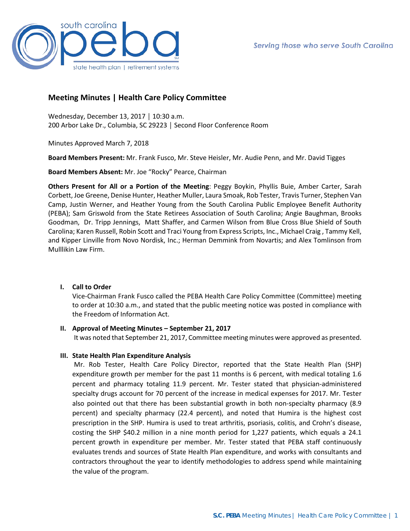

# **Meeting Minutes | Health Care Policy Committee**

Wednesday, December 13, 2017 │ 10:30 a.m. 200 Arbor Lake Dr., Columbia, SC 29223 │ Second Floor Conference Room

Minutes Approved March 7, 2018

**Board Members Present:** Mr. Frank Fusco, Mr. Steve Heisler, Mr. Audie Penn, and Mr. David Tigges

**Board Members Absent:** Mr. Joe "Rocky" Pearce, Chairman

**Others Present for All or a Portion of the Meeting**: Peggy Boykin, Phyllis Buie, Amber Carter, Sarah Corbett, Joe Greene, Denise Hunter, Heather Muller, Laura Smoak, Rob Tester, Travis Turner, Stephen Van Camp, Justin Werner, and Heather Young from the South Carolina Public Employee Benefit Authority (PEBA); Sam Griswold from the State Retirees Association of South Carolina; Angie Baughman, Brooks Goodman, Dr. Tripp Jennings, Matt Shaffer, and Carmen Wilson from Blue Cross Blue Shield of South Carolina; Karen Russell, Robin Scott and Traci Young from Express Scripts, Inc., Michael Craig , Tammy Kell, and Kipper Linville from Novo Nordisk, Inc.; Herman Demmink from Novartis; and Alex Tomlinson from Mulllikin Law Firm.

## **I. Call to Order**

Vice-Chairman Frank Fusco called the PEBA Health Care Policy Committee (Committee) meeting to order at 10:30 a.m., and stated that the public meeting notice was posted in compliance with the Freedom of Information Act.

### **II. Approval of Meeting Minutes – September 21, 2017**

It was noted that September 21, 2017, Committee meeting minutes were approved as presented.

## **III. State Health Plan Expenditure Analysis**

Mr. Rob Tester, Health Care Policy Director, reported that the State Health Plan (SHP) expenditure growth per member for the past 11 months is 6 percent, with medical totaling 1.6 percent and pharmacy totaling 11.9 percent. Mr. Tester stated that physician-administered specialty drugs account for 70 percent of the increase in medical expenses for 2017. Mr. Tester also pointed out that there has been substantial growth in both non-specialty pharmacy (8.9 percent) and specialty pharmacy (22.4 percent), and noted that Humira is the highest cost prescription in the SHP. Humira is used to treat arthritis, psoriasis, colitis, and Crohn's disease, costing the SHP \$40.2 million in a nine month period for 1,227 patients, which equals a 24.1 percent growth in expenditure per member. Mr. Tester stated that PEBA staff continuously evaluates trends and sources of State Health Plan expenditure, and works with consultants and contractors throughout the year to identify methodologies to address spend while maintaining the value of the program.